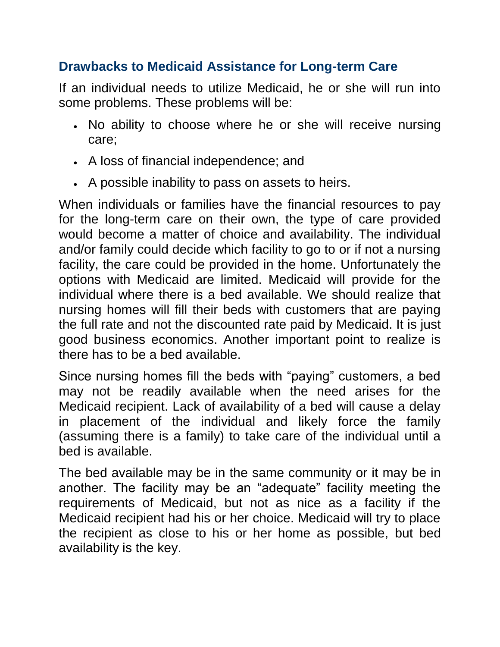## **Drawbacks to Medicaid Assistance for Long-term Care**

If an individual needs to utilize Medicaid, he or she will run into some problems. These problems will be:

- No ability to choose where he or she will receive nursing care;
- A loss of financial independence; and
- A possible inability to pass on assets to heirs.

When individuals or families have the financial resources to pay for the long-term care on their own, the type of care provided would become a matter of choice and availability. The individual and/or family could decide which facility to go to or if not a nursing facility, the care could be provided in the home. Unfortunately the options with Medicaid are limited. Medicaid will provide for the individual where there is a bed available. We should realize that nursing homes will fill their beds with customers that are paying the full rate and not the discounted rate paid by Medicaid. It is just good business economics. Another important point to realize is there has to be a bed available.

Since nursing homes fill the beds with "paying" customers, a bed may not be readily available when the need arises for the Medicaid recipient. Lack of availability of a bed will cause a delay in placement of the individual and likely force the family (assuming there is a family) to take care of the individual until a bed is available.

The bed available may be in the same community or it may be in another. The facility may be an "adequate" facility meeting the requirements of Medicaid, but not as nice as a facility if the Medicaid recipient had his or her choice. Medicaid will try to place the recipient as close to his or her home as possible, but bed availability is the key.